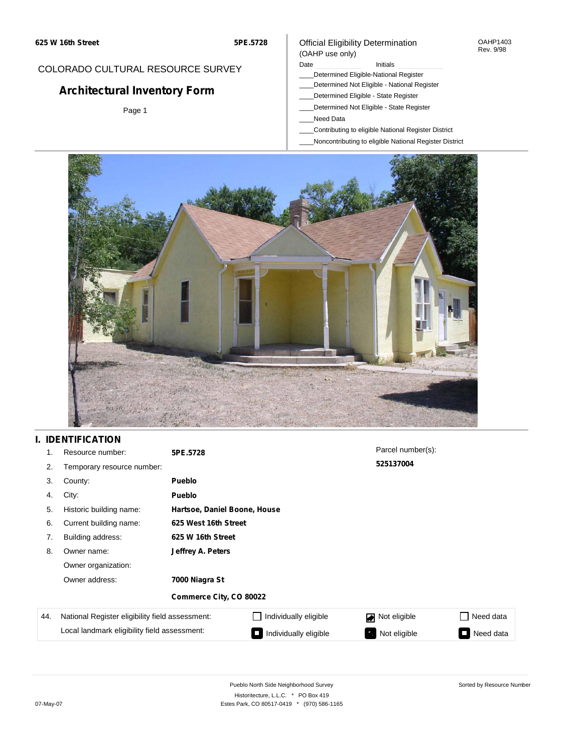#### OAHP1403 Rev. 9/98

### COLORADO CULTURAL RESOURCE SURVEY

# **Architectural Inventory Form**

Page 1

# (OAHP use only)

Official Eligibility Determination

Date **Initials** Initials

- \_\_\_\_Determined Eligible-National Register
- \_\_\_\_Determined Not Eligible National Register \_\_\_\_Determined Eligible - State Register
- \_\_\_\_Determined Not Eligible State Register
- \_\_\_\_Need Data
- \_\_\_\_Contributing to eligible National Register District
- \_\_\_\_Noncontributing to eligible National Register District



## **I. IDENTIFICATION**

| 1.  | Resource number:                                | 5PE.5728                |                              | Parcel number(s): |           |  |  |  |
|-----|-------------------------------------------------|-------------------------|------------------------------|-------------------|-----------|--|--|--|
| 2.  | Temporary resource number:                      |                         |                              | 525137004         |           |  |  |  |
| 3.  | County:                                         | <b>Pueblo</b>           |                              |                   |           |  |  |  |
| 4.  | City:                                           | <b>Pueblo</b>           |                              |                   |           |  |  |  |
| 5.  | Historic building name:                         |                         | Hartsoe, Daniel Boone, House |                   |           |  |  |  |
| 6.  | Current building name:                          |                         | 625 West 16th Street         |                   |           |  |  |  |
| 7.  | Building address:                               | 625 W 16th Street       |                              |                   |           |  |  |  |
| 8.  | Owner name:                                     | Jeffrey A. Peters       |                              |                   |           |  |  |  |
|     | Owner organization:                             |                         |                              |                   |           |  |  |  |
|     | Owner address:                                  | 7000 Niagra St          |                              |                   |           |  |  |  |
|     |                                                 | Commerce City, CO 80022 |                              |                   |           |  |  |  |
| 44. | National Register eligibility field assessment: |                         | Individually eligible        | Not eligible      | Need data |  |  |  |
|     | Local landmark eligibility field assessment:    |                         | Individually eligible        | Not eligible      | Need data |  |  |  |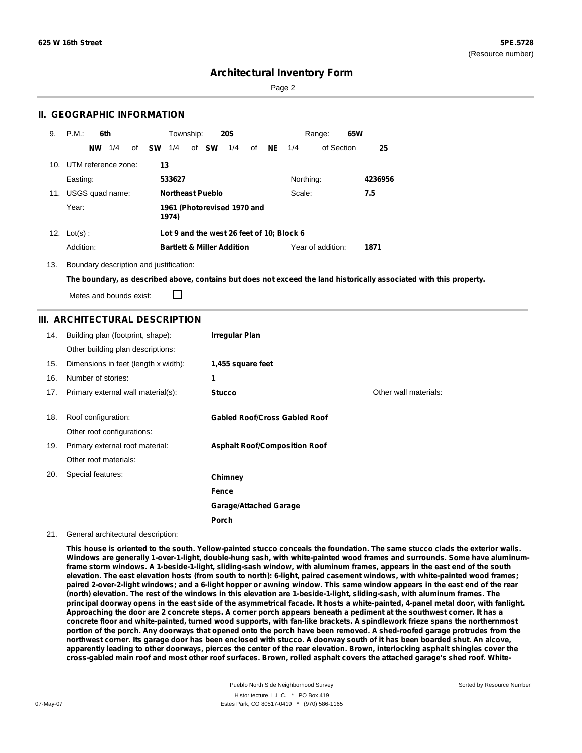Page 2

### **II. GEOGRAPHIC INFORMATION**

| 9.  | P.M.                | 6th       |     |    |           | Township: |                                       | <b>20S</b> |    |           |                                           | Range:            | 65W |         |
|-----|---------------------|-----------|-----|----|-----------|-----------|---------------------------------------|------------|----|-----------|-------------------------------------------|-------------------|-----|---------|
|     |                     | <b>NW</b> | 1/4 | of | <b>SW</b> | 1/4       | of <b>SW</b>                          | 1/4        | οf | <b>NE</b> | 1/4                                       | of Section        |     | 25      |
| 10. | UTM reference zone: |           |     |    |           | 13        |                                       |            |    |           |                                           |                   |     |         |
|     | Easting:            |           |     |    |           | 533627    |                                       |            |    |           | Northing:                                 |                   |     | 4236956 |
| 11. | USGS quad name:     |           |     |    |           |           | <b>Northeast Pueblo</b>               |            |    |           | Scale:                                    |                   |     | 7.5     |
|     | Year:               |           |     |    |           | 1974)     | 1961 (Photorevised 1970 and           |            |    |           |                                           |                   |     |         |
| 12. | $Lot(s)$ :          |           |     |    |           |           |                                       |            |    |           | Lot 9 and the west 26 feet of 10; Block 6 |                   |     |         |
|     | Addition:           |           |     |    |           |           | <b>Bartlett &amp; Miller Addition</b> |            |    |           |                                           | Year of addition: |     | 1871    |

13. Boundary description and justification:

The boundary, as described above, contains but does not exceed the land historically associated with this property.

Metes and bounds exist:

П

### **III. ARCHITECTURAL DESCRIPTION**

| 14. | Building plan (footprint, shape):    | <b>Irregular Plan</b>                |                       |
|-----|--------------------------------------|--------------------------------------|-----------------------|
|     | Other building plan descriptions:    |                                      |                       |
| 15. | Dimensions in feet (length x width): | 1,455 square feet                    |                       |
| 16. | Number of stories:                   | 1                                    |                       |
| 17. | Primary external wall material(s):   | <b>Stucco</b>                        | Other wall materials: |
|     |                                      |                                      |                       |
| 18. | Roof configuration:                  | <b>Gabled Roof/Cross Gabled Roof</b> |                       |
|     | Other roof configurations:           |                                      |                       |
| 19. | Primary external roof material:      | <b>Asphalt Roof/Composition Roof</b> |                       |
|     | Other roof materials:                |                                      |                       |
| 20. | Special features:                    | Chimney                              |                       |
|     |                                      | Fence                                |                       |
|     |                                      | <b>Garage/Attached Garage</b>        |                       |
|     |                                      | Porch                                |                       |

#### 21. General architectural description:

This house is oriented to the south. Yellow-painted stucco conceals the foundation. The same stucco clads the exterior walls. Windows are generally 1-over-1-light, double-hung sash, with white-painted wood frames and surrounds. Some have aluminumframe storm windows. A 1-beside-1-light, sliding-sash window, with aluminum frames, appears in the east end of the south elevation. The east elevation hosts (from south to north): 6-light, paired casement windows, with white-painted wood frames; paired 2-over-2-light windows; and a 6-light hopper or awning window. This same window appears in the east end of the rear (north) elevation. The rest of the windows in this elevation are 1-beside-1-light, sliding-sash, with aluminum frames. The principal doorway opens in the east side of the asymmetrical facade. It hosts a white-painted, 4-panel metal door, with fanlight. Approaching the door are 2 concrete steps. A corner porch appears beneath a pediment at the southwest corner. It has a concrete floor and white-painted, turned wood supports, with fan-like brackets. A spindlework frieze spans the northernmost portion of the porch. Any doorways that opened onto the porch have been removed. A shed-roofed garage protrudes from the northwest corner. Its garage door has been enclosed with stucco. A doorway south of it has been boarded shut. An alcove, apparently leading to other doorways, pierces the center of the rear elevation. Brown, interlocking asphalt shingles cover the cross-gabled main roof and most other roof surfaces. Brown, rolled asphalt covers the attached garage's shed roof. White-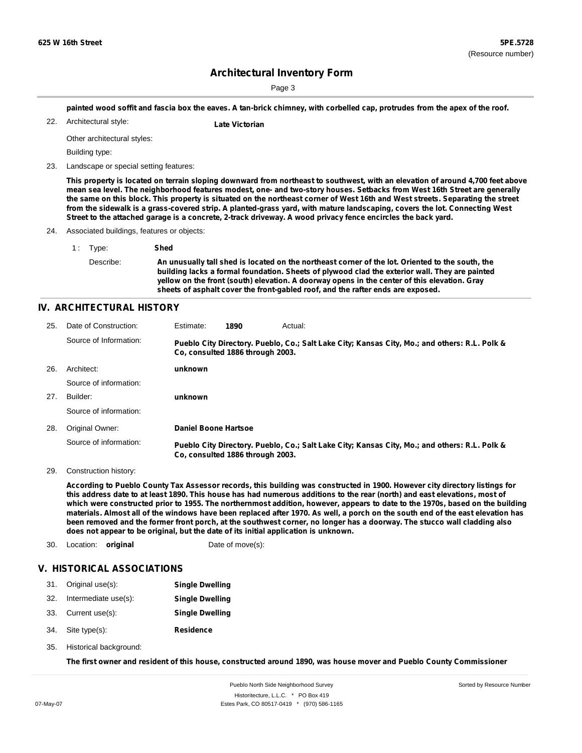Page 3

painted wood soffit and fascia box the eaves. A tan-brick chimney, with corbelled cap, protrudes from the apex of the roof.

Architectural style: 22. **Late Victorian**

Other architectural styles:

Building type:

23. Landscape or special setting features:

This property is located on terrain sloping downward from northeast to southwest, with an elevation of around 4,700 feet above mean sea level. The neighborhood features modest, one- and two-story houses. Setbacks from West 16th Street are generally the same on this block. This property is situated on the northeast corner of West 16th and West streets. Separating the street from the sidewalk is a grass-covered strip. A planted-grass yard, with mature landscaping, covers the lot. Connecting West Street to the attached garage is a concrete, 2-track driveway. A wood privacy fence encircles the back yard.

24. Associated buildings, features or objects:

1 : Type: **Shed** Describe: An unusually tall shed is located on the northeast corner of the lot. Oriented to the south, the **building lacks a formal foundation. Sheets of plywood clad the exterior wall. They are painted yellow on the front (south) elevation. A doorway opens in the center of this elevation. Gray sheets of asphalt cover the front-gabled roof, and the rafter ends are exposed.**

#### **IV. ARCHITECTURAL HISTORY**

| 25. | Date of Construction:  | Estimate:                   | 1890                             | Actual:                                                                                       |
|-----|------------------------|-----------------------------|----------------------------------|-----------------------------------------------------------------------------------------------|
|     | Source of Information: |                             | Co. consulted 1886 through 2003. | Pueblo City Directory. Pueblo, Co.; Salt Lake City; Kansas City, Mo.; and others: R.L. Polk & |
| 26. | Architect:             | unknown                     |                                  |                                                                                               |
|     | Source of information: |                             |                                  |                                                                                               |
| 27. | Builder:               | unknown                     |                                  |                                                                                               |
|     | Source of information: |                             |                                  |                                                                                               |
| 28. | Original Owner:        | <b>Daniel Boone Hartsoe</b> |                                  |                                                                                               |
|     | Source of information: |                             | Co. consulted 1886 through 2003. | Pueblo City Directory. Pueblo, Co.; Salt Lake City; Kansas City, Mo.; and others: R.L. Polk & |

29. Construction history:

According to Pueblo County Tax Assessor records, this building was constructed in 1900. However city directory listings for this address date to at least 1890. This house has had numerous additions to the rear (north) and east elevations, most of which were constructed prior to 1955. The northernmost addition, however, appears to date to the 1970s, based on the building materials. Almost all of the windows have been replaced after 1970. As well, a porch on the south end of the east elevation has been removed and the former front porch, at the southwest corner, no longer has a doorway. The stucco wall cladding also **does not appear to be original, but the date of its initial application is unknown.**

30. Location: **original** Date of move(s):

#### **V. HISTORICAL ASSOCIATIONS**

| 31. | Original use(s): | <b>Single Dwelling</b> |
|-----|------------------|------------------------|
|     |                  |                        |

- 32. Intermediate use(s): **Single Dwelling**
- 33. Current use(s): **Single Dwelling**
- **Residence** Site type(s): 34.
- 35. Historical background:

The first owner and resident of this house, constructed around 1890, was house mover and Pueblo County Commissioner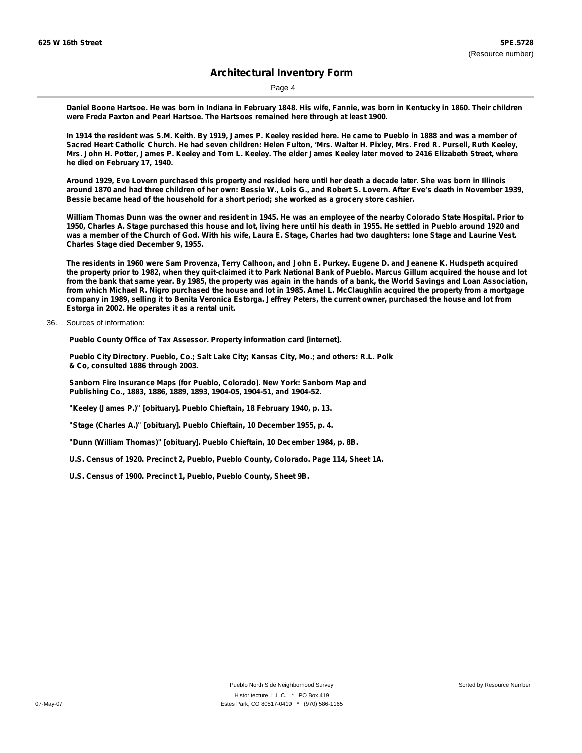Page 4

Daniel Boone Hartsoe. He was born in Indiana in February 1848. His wife, Fannie, was born in Kentucky in 1860. Their children **were Freda Paxton and Pearl Hartsoe. The Hartsoes remained here through at least 1900.**

In 1914 the resident was S.M. Keith. By 1919, James P. Keeley resided here. He came to Pueblo in 1888 and was a member of Sacred Heart Catholic Church. He had seven children: Helen Fulton, 'Mrs. Walter H. Pixley, Mrs. Fred R. Pursell, Ruth Keeley, Mrs. John H. Potter, James P. Keeley and Tom L. Keeley. The elder James Keeley later moved to 2416 Elizabeth Street, where **he died on February 17, 1940.**

Around 1929, Eve Lovern purchased this property and resided here until her death a decade later. She was born in Illinois around 1870 and had three children of her own: Bessie W., Lois G., and Robert S. Lovern. After Eve's death in November 1939, **Bessie became head of the household for a short period; she worked as a grocery store cashier.**

William Thomas Dunn was the owner and resident in 1945. He was an employee of the nearby Colorado State Hospital. Prior to 1950, Charles A. Stage purchased this house and lot, living here until his death in 1955. He settled in Pueblo around 1920 and was a member of the Church of God. With his wife, Laura E. Stage, Charles had two daughters: lone Stage and Laurine Vest. **Charles Stage died December 9, 1955.**

The residents in 1960 were Sam Provenza, Terry Calhoon, and John E. Purkey. Eugene D. and Jeanene K. Hudspeth acquired the property prior to 1982, when they quit-claimed it to Park National Bank of Pueblo. Marcus Gillum acquired the house and lot from the bank that same year. By 1985, the property was again in the hands of a bank, the World Savings and Loan Association, from which Michael R. Nigro purchased the house and lot in 1985. Amel L. McClaughlin acquired the property from a mortgage company in 1989, selling it to Benita Veronica Estorga. Jeffrey Peters, the current owner, purchased the house and lot from **Estorga in 2002. He operates it as a rental unit.**

36. Sources of information:

**Pueblo County Office of Tax Assessor. Property information card [internet].**

**Pueblo City Directory. Pueblo, Co.; Salt Lake City; Kansas City, Mo.; and others: R.L. Polk & Co, consulted 1886 through 2003.**

**Sanborn Fire Insurance Maps (for Pueblo, Colorado). New York: Sanborn Map and Publishing Co., 1883, 1886, 1889, 1893, 1904-05, 1904-51, and 1904-52.**

**"Keeley (James P.)" [obituary]. Pueblo Chieftain, 18 February 1940, p. 13.**

**"Stage (Charles A.)" [obituary]. Pueblo Chieftain, 10 December 1955, p. 4.**

**"Dunn (William Thomas)" [obituary]. Pueblo Chieftain, 10 December 1984, p. 8B.**

**U.S. Census of 1920. Precinct 2, Pueblo, Pueblo County, Colorado. Page 114, Sheet 1A.**

**U.S. Census of 1900. Precinct 1, Pueblo, Pueblo County, Sheet 9B.**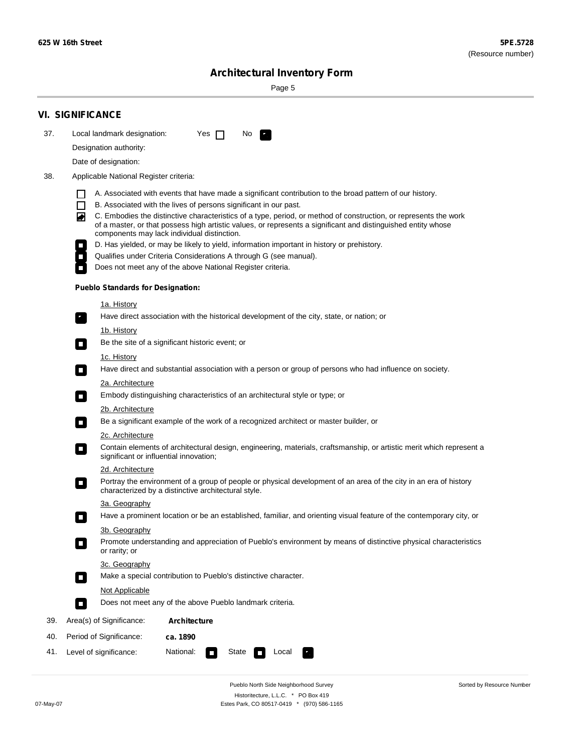÷

Sorted by Resource Number

# **Architectural Inventory Form**

Page 5

|     | <b>VI. SIGNIFICANCE</b>                                                                                                                                                                                                                                                                                                                                                                                                                                                                                                                                                                                                                                                                                                |  |  |  |  |  |  |  |  |
|-----|------------------------------------------------------------------------------------------------------------------------------------------------------------------------------------------------------------------------------------------------------------------------------------------------------------------------------------------------------------------------------------------------------------------------------------------------------------------------------------------------------------------------------------------------------------------------------------------------------------------------------------------------------------------------------------------------------------------------|--|--|--|--|--|--|--|--|
| 37. | Local landmark designation:<br>Yes $\Box$<br>No.                                                                                                                                                                                                                                                                                                                                                                                                                                                                                                                                                                                                                                                                       |  |  |  |  |  |  |  |  |
|     | Designation authority:                                                                                                                                                                                                                                                                                                                                                                                                                                                                                                                                                                                                                                                                                                 |  |  |  |  |  |  |  |  |
|     | Date of designation:                                                                                                                                                                                                                                                                                                                                                                                                                                                                                                                                                                                                                                                                                                   |  |  |  |  |  |  |  |  |
| 38. | Applicable National Register criteria:                                                                                                                                                                                                                                                                                                                                                                                                                                                                                                                                                                                                                                                                                 |  |  |  |  |  |  |  |  |
|     | A. Associated with events that have made a significant contribution to the broad pattern of our history.<br>l.<br>B. Associated with the lives of persons significant in our past.<br>$\Box$<br>C. Embodies the distinctive characteristics of a type, period, or method of construction, or represents the work<br>◙<br>of a master, or that possess high artistic values, or represents a significant and distinguished entity whose<br>components may lack individual distinction.<br>D. Has yielded, or may be likely to yield, information important in history or prehistory.<br>Qualifies under Criteria Considerations A through G (see manual).<br>Does not meet any of the above National Register criteria. |  |  |  |  |  |  |  |  |
|     | <b>Pueblo Standards for Designation:</b>                                                                                                                                                                                                                                                                                                                                                                                                                                                                                                                                                                                                                                                                               |  |  |  |  |  |  |  |  |
|     |                                                                                                                                                                                                                                                                                                                                                                                                                                                                                                                                                                                                                                                                                                                        |  |  |  |  |  |  |  |  |
|     | 1a. History<br>Have direct association with the historical development of the city, state, or nation; or                                                                                                                                                                                                                                                                                                                                                                                                                                                                                                                                                                                                               |  |  |  |  |  |  |  |  |
|     | <u>1b. History</u>                                                                                                                                                                                                                                                                                                                                                                                                                                                                                                                                                                                                                                                                                                     |  |  |  |  |  |  |  |  |
|     | Be the site of a significant historic event; or<br>$\mathcal{L}_{\mathcal{A}}$                                                                                                                                                                                                                                                                                                                                                                                                                                                                                                                                                                                                                                         |  |  |  |  |  |  |  |  |
|     | 1c. History<br>Have direct and substantial association with a person or group of persons who had influence on society.<br>$\blacksquare$                                                                                                                                                                                                                                                                                                                                                                                                                                                                                                                                                                               |  |  |  |  |  |  |  |  |
|     | 2a. Architecture                                                                                                                                                                                                                                                                                                                                                                                                                                                                                                                                                                                                                                                                                                       |  |  |  |  |  |  |  |  |
|     | Embody distinguishing characteristics of an architectural style or type; or<br>$\overline{\phantom{a}}$                                                                                                                                                                                                                                                                                                                                                                                                                                                                                                                                                                                                                |  |  |  |  |  |  |  |  |
|     | 2b. Architecture                                                                                                                                                                                                                                                                                                                                                                                                                                                                                                                                                                                                                                                                                                       |  |  |  |  |  |  |  |  |
|     | Be a significant example of the work of a recognized architect or master builder, or<br>$\sim$                                                                                                                                                                                                                                                                                                                                                                                                                                                                                                                                                                                                                         |  |  |  |  |  |  |  |  |
|     | 2c. Architecture<br>Contain elements of architectural design, engineering, materials, craftsmanship, or artistic merit which represent a<br>О<br>significant or influential innovation;                                                                                                                                                                                                                                                                                                                                                                                                                                                                                                                                |  |  |  |  |  |  |  |  |
|     | 2d. Architecture                                                                                                                                                                                                                                                                                                                                                                                                                                                                                                                                                                                                                                                                                                       |  |  |  |  |  |  |  |  |
|     | Portray the environment of a group of people or physical development of an area of the city in an era of history<br>$\Box$<br>characterized by a distinctive architectural style.                                                                                                                                                                                                                                                                                                                                                                                                                                                                                                                                      |  |  |  |  |  |  |  |  |
|     | 3a. Geography                                                                                                                                                                                                                                                                                                                                                                                                                                                                                                                                                                                                                                                                                                          |  |  |  |  |  |  |  |  |
|     | Have a prominent location or be an established, familiar, and orienting visual feature of the contemporary city, or                                                                                                                                                                                                                                                                                                                                                                                                                                                                                                                                                                                                    |  |  |  |  |  |  |  |  |
|     | 3b. Geography                                                                                                                                                                                                                                                                                                                                                                                                                                                                                                                                                                                                                                                                                                          |  |  |  |  |  |  |  |  |
|     | Promote understanding and appreciation of Pueblo's environment by means of distinctive physical characteristics<br>or rarity; or                                                                                                                                                                                                                                                                                                                                                                                                                                                                                                                                                                                       |  |  |  |  |  |  |  |  |
|     | 3c. Geography                                                                                                                                                                                                                                                                                                                                                                                                                                                                                                                                                                                                                                                                                                          |  |  |  |  |  |  |  |  |
|     | Make a special contribution to Pueblo's distinctive character.<br>$\sim$                                                                                                                                                                                                                                                                                                                                                                                                                                                                                                                                                                                                                                               |  |  |  |  |  |  |  |  |
|     | Not Applicable                                                                                                                                                                                                                                                                                                                                                                                                                                                                                                                                                                                                                                                                                                         |  |  |  |  |  |  |  |  |
|     | Does not meet any of the above Pueblo landmark criteria.<br>$\overline{\phantom{a}}$                                                                                                                                                                                                                                                                                                                                                                                                                                                                                                                                                                                                                                   |  |  |  |  |  |  |  |  |
| 39. | Area(s) of Significance:<br><b>Architecture</b>                                                                                                                                                                                                                                                                                                                                                                                                                                                                                                                                                                                                                                                                        |  |  |  |  |  |  |  |  |
| 40. | Period of Significance:<br>ca. 1890                                                                                                                                                                                                                                                                                                                                                                                                                                                                                                                                                                                                                                                                                    |  |  |  |  |  |  |  |  |
| 41. | National:<br>Level of significance:<br>State<br>Local<br>т,<br>П                                                                                                                                                                                                                                                                                                                                                                                                                                                                                                                                                                                                                                                       |  |  |  |  |  |  |  |  |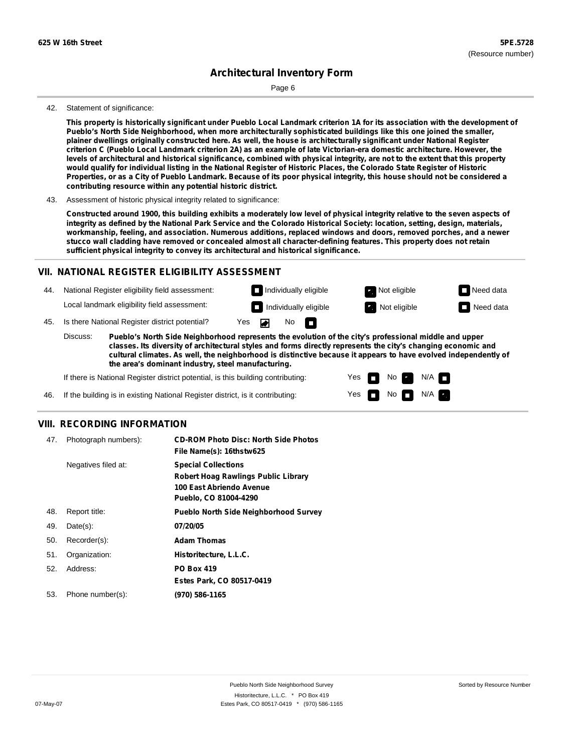Page 6

#### 42. Statement of significance:

This property is historically significant under Pueblo Local Landmark criterion 1A for its association with the development of **Pueblo's North Side Neighborhood, when more architecturally sophisticated buildings like this one joined the smaller,** plainer dwellings originally constructed here. As well, the house is architecturally significant under National Register criterion C (Pueblo Local Landmark criterion 2A) as an example of late Victorian-era domestic architecture. However, the levels of architectural and historical significance, combined with physical integrity, are not to the extent that this property would qualify for individual listing in the National Register of Historic Places, the Colorado State Register of Historic Properties, or as a City of Pueblo Landmark. Because of its poor physical integrity, this house should not be considered a **contributing resource within any potential historic district.**

#### 43. Assessment of historic physical integrity related to significance:

Constructed around 1900, this building exhibits a moderately low level of physical integrity relative to the seven aspects of integrity as defined by the National Park Service and the Colorado Historical Society: location, setting, design, materials, **workmanship, feeling, and association. Numerous additions, replaced windows and doors, removed porches, and a newer** stucco wall cladding have removed or concealed almost all character-defining features. This property does not retain **sufficient physical integrity to convey its architectural and historical significance.**

### **VII. NATIONAL REGISTER ELIGIBILITY ASSESSMENT**

44. National Register eligibility field assessment: Local landmark eligibility field assessment:

**Individually eligible Not eligible** Not eligible **Need data** 45. Is there National Register district potential? Yes No m

**Pueblo's North Side Neighborhood represents the evolution of the city's professional middle and upper classes. Its diversity of architectural styles and forms directly represents the city's changing economic and cultural climates. As well, the neighborhood is distinctive because it appears to have evolved independently of the area's dominant industry, steel manufacturing.** Discuss:

> Yes Yes

No

**Individually eligible Not eligible** Not eligible **Need data** 

No **N/A** 

 $N/A$ 

If there is National Register district potential, is this building contributing:

If the building is in existing National Register district, is it contributing: 46.

### **VIII. RECORDING INFORMATION**

| 47. | Photograph numbers): | <b>CD-ROM Photo Disc: North Side Photos</b><br>File Name(s): 16thstw625                                                       |
|-----|----------------------|-------------------------------------------------------------------------------------------------------------------------------|
|     | Negatives filed at:  | <b>Special Collections</b><br><b>Robert Hoag Rawlings Public Library</b><br>100 East Abriendo Avenue<br>Pueblo, CO 81004-4290 |
| 48. | Report title:        | <b>Pueblo North Side Neighborhood Survey</b>                                                                                  |
| 49. | $Date(s)$ :          | 07/20/05                                                                                                                      |
| 50. | Recorder(s):         | <b>Adam Thomas</b>                                                                                                            |
| 51. | Organization:        | Historitecture, L.L.C.                                                                                                        |
| 52. | Address:             | <b>PO Box 419</b>                                                                                                             |
|     |                      | Estes Park, CO 80517-0419                                                                                                     |
| 53. | Phone number(s):     | (970) 586-1165                                                                                                                |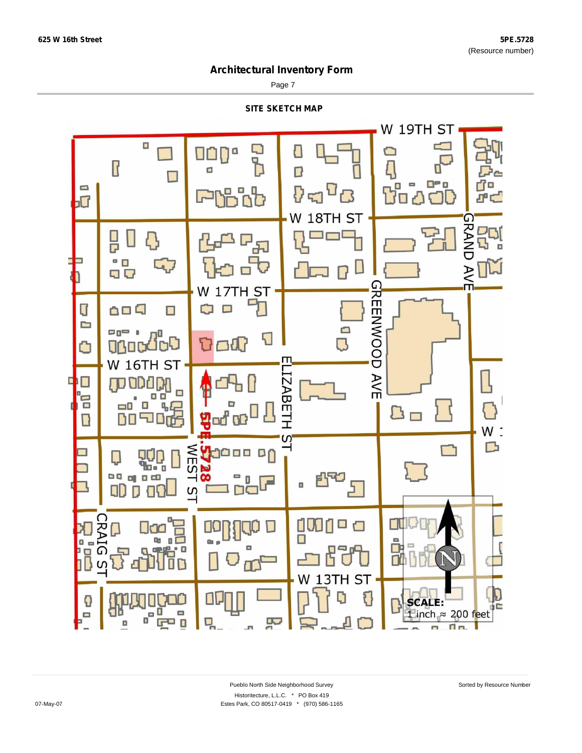Page 7